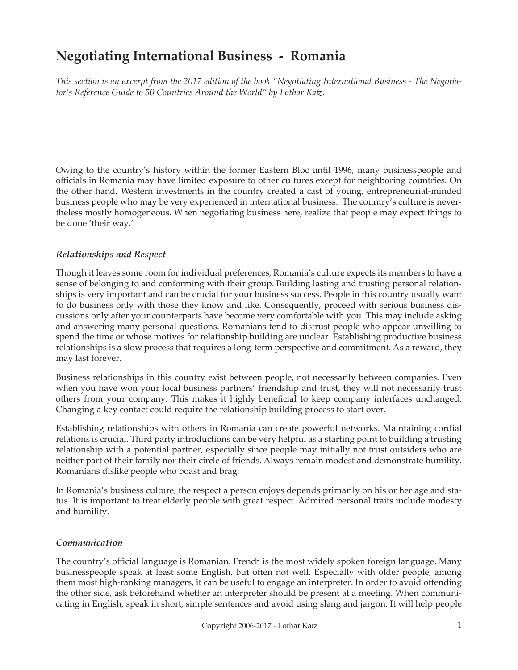# **Negotiating International Business - Romania**

*This section is an excerpt from the 2017 edition of the book "Negotiating International Business - The Negotiator's Reference Guide to 50 Countries Around the World" by Lothar Katz.*

Owing to the country's history within the former Eastern Bloc until 1996, many businesspeople and officials in Romania may have limited exposure to other cultures except for neighboring countries. On the other hand, Western investments in the country created a cast of young, entrepreneurial-minded business people who may be very experienced in international business. The country's culture is nevertheless mostly homogeneous. When negotiating business here, realize that people may expect things to be done 'their way.'

## *Relationships and Respect*

Though it leaves some room for individual preferences, Romania's culture expects its members to have a sense of belonging to and conforming with their group. Building lasting and trusting personal relationships is very important and can be crucial for your business success. People in this country usually want to do business only with those they know and like. Consequently, proceed with serious business discussions only after your counterparts have become very comfortable with you. This may include asking and answering many personal questions. Romanians tend to distrust people who appear unwilling to spend the time or whose motives for relationship building are unclear. Establishing productive business relationships is a slow process that requires a long-term perspective and commitment. As a reward, they may last forever.

Business relationships in this country exist between people, not necessarily between companies. Even when you have won your local business partners' friendship and trust, they will not necessarily trust others from your company. This makes it highly beneficial to keep company interfaces unchanged. Changing a key contact could require the relationship building process to start over.

Establishing relationships with others in Romania can create powerful networks. Maintaining cordial relations is crucial. Third party introductions can be very helpful as a starting point to building a trusting relationship with a potential partner, especially since people may initially not trust outsiders who are neither part of their family nor their circle of friends. Always remain modest and demonstrate humility. Romanians dislike people who boast and brag.

In Romania's business culture, the respect a person enjoys depends primarily on his or her age and status. It is important to treat elderly people with great respect. Admired personal traits include modesty and humility.

## *Communication*

The country's official language is Romanian. French is the most widely spoken foreign language. Many businesspeople speak at least some English, but often not well. Especially with older people, among them most high-ranking managers, it can be useful to engage an interpreter. In order to avoid offending the other side, ask beforehand whether an interpreter should be present at a meeting. When communicating in English, speak in short, simple sentences and avoid using slang and jargon. It will help people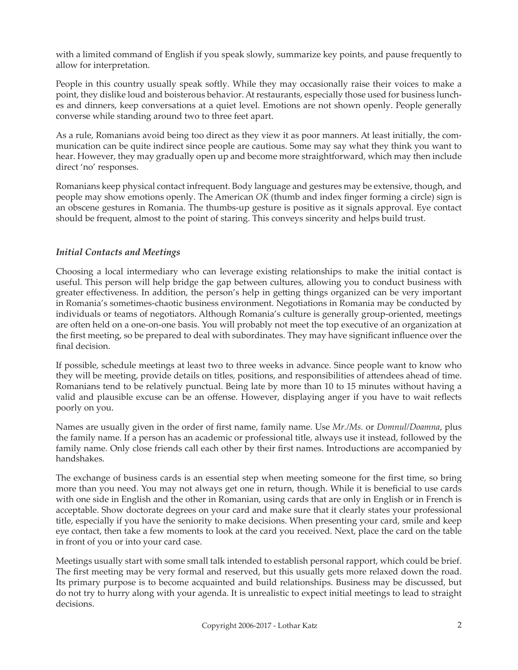with a limited command of English if you speak slowly, summarize key points, and pause frequently to allow for interpretation.

People in this country usually speak softly. While they may occasionally raise their voices to make a point, they dislike loud and boisterous behavior. At restaurants, especially those used for business lunches and dinners, keep conversations at a quiet level. Emotions are not shown openly. People generally converse while standing around two to three feet apart.

As a rule, Romanians avoid being too direct as they view it as poor manners. At least initially, the communication can be quite indirect since people are cautious. Some may say what they think you want to hear. However, they may gradually open up and become more straightforward, which may then include direct 'no' responses.

Romanians keep physical contact infrequent. Body language and gestures may be extensive, though, and people may show emotions openly. The American *OK* (thumb and index finger forming a circle) sign is an obscene gestures in Romania. The thumbs-up gesture is positive as it signals approval. Eye contact should be frequent, almost to the point of staring. This conveys sincerity and helps build trust.

## *Initial Contacts and Meetings*

Choosing a local intermediary who can leverage existing relationships to make the initial contact is useful. This person will help bridge the gap between cultures, allowing you to conduct business with greater effectiveness. In addition, the person's help in getting things organized can be very important in Romania's sometimes-chaotic business environment. Negotiations in Romania may be conducted by individuals or teams of negotiators. Although Romania's culture is generally group-oriented, meetings are often held on a one-on-one basis. You will probably not meet the top executive of an organization at the first meeting, so be prepared to deal with subordinates. They may have significant influence over the final decision.

If possible, schedule meetings at least two to three weeks in advance. Since people want to know who they will be meeting, provide details on titles, positions, and responsibilities of attendees ahead of time. Romanians tend to be relatively punctual. Being late by more than 10 to 15 minutes without having a valid and plausible excuse can be an offense. However, displaying anger if you have to wait reflects poorly on you.

Names are usually given in the order of first name, family name. Use *Mr./Ms.* or *Domnul/Doamna*, plus the family name. If a person has an academic or professional title, always use it instead, followed by the family name. Only close friends call each other by their first names. Introductions are accompanied by handshakes.

The exchange of business cards is an essential step when meeting someone for the first time, so bring more than you need. You may not always get one in return, though. While it is beneficial to use cards with one side in English and the other in Romanian, using cards that are only in English or in French is acceptable. Show doctorate degrees on your card and make sure that it clearly states your professional title, especially if you have the seniority to make decisions. When presenting your card, smile and keep eye contact, then take a few moments to look at the card you received. Next, place the card on the table in front of you or into your card case.

Meetings usually start with some small talk intended to establish personal rapport, which could be brief. The first meeting may be very formal and reserved, but this usually gets more relaxed down the road. Its primary purpose is to become acquainted and build relationships. Business may be discussed, but do not try to hurry along with your agenda. It is unrealistic to expect initial meetings to lead to straight decisions.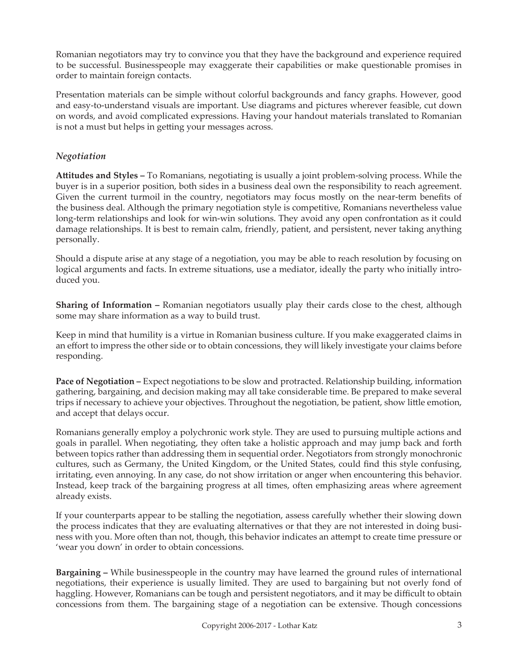Romanian negotiators may try to convince you that they have the background and experience required to be successful. Businesspeople may exaggerate their capabilities or make questionable promises in order to maintain foreign contacts.

Presentation materials can be simple without colorful backgrounds and fancy graphs. However, good and easy-to-understand visuals are important. Use diagrams and pictures wherever feasible, cut down on words, and avoid complicated expressions. Having your handout materials translated to Romanian is not a must but helps in getting your messages across.

# *Negotiation*

**Attitudes and Styles –** To Romanians, negotiating is usually a joint problem-solving process. While the buyer is in a superior position, both sides in a business deal own the responsibility to reach agreement. Given the current turmoil in the country, negotiators may focus mostly on the near-term benefits of the business deal. Although the primary negotiation style is competitive, Romanians nevertheless value long-term relationships and look for win-win solutions. They avoid any open confrontation as it could damage relationships. It is best to remain calm, friendly, patient, and persistent, never taking anything personally.

Should a dispute arise at any stage of a negotiation, you may be able to reach resolution by focusing on logical arguments and facts. In extreme situations, use a mediator, ideally the party who initially introduced you.

**Sharing of Information –** Romanian negotiators usually play their cards close to the chest, although some may share information as a way to build trust.

Keep in mind that humility is a virtue in Romanian business culture. If you make exaggerated claims in an effort to impress the other side or to obtain concessions, they will likely investigate your claims before responding.

**Pace of Negotiation –** Expect negotiations to be slow and protracted. Relationship building, information gathering, bargaining, and decision making may all take considerable time. Be prepared to make several trips if necessary to achieve your objectives. Throughout the negotiation, be patient, show little emotion, and accept that delays occur.

Romanians generally employ a polychronic work style. They are used to pursuing multiple actions and goals in parallel. When negotiating, they often take a holistic approach and may jump back and forth between topics rather than addressing them in sequential order. Negotiators from strongly monochronic cultures, such as Germany, the United Kingdom, or the United States, could find this style confusing, irritating, even annoying. In any case, do not show irritation or anger when encountering this behavior. Instead, keep track of the bargaining progress at all times, often emphasizing areas where agreement already exists.

If your counterparts appear to be stalling the negotiation, assess carefully whether their slowing down the process indicates that they are evaluating alternatives or that they are not interested in doing business with you. More often than not, though, this behavior indicates an attempt to create time pressure or 'wear you down' in order to obtain concessions.

**Bargaining –** While businesspeople in the country may have learned the ground rules of international negotiations, their experience is usually limited. They are used to bargaining but not overly fond of haggling. However, Romanians can be tough and persistent negotiators, and it may be difficult to obtain concessions from them. The bargaining stage of a negotiation can be extensive. Though concessions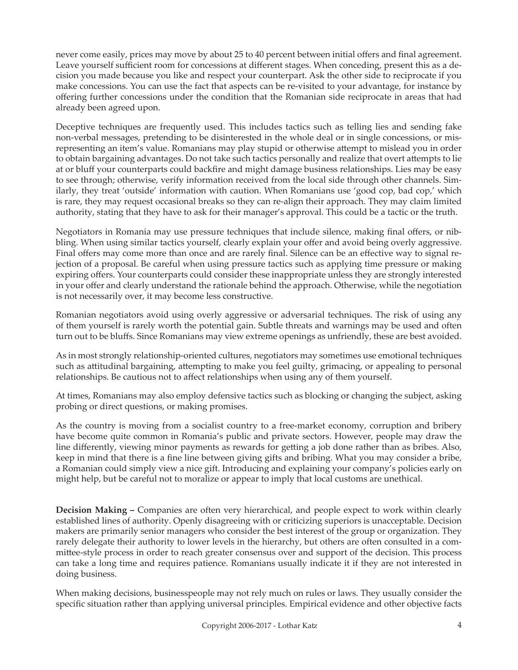never come easily, prices may move by about 25 to 40 percent between initial offers and final agreement. Leave yourself sufficient room for concessions at different stages. When conceding, present this as a decision you made because you like and respect your counterpart. Ask the other side to reciprocate if you make concessions. You can use the fact that aspects can be re-visited to your advantage, for instance by offering further concessions under the condition that the Romanian side reciprocate in areas that had already been agreed upon.

Deceptive techniques are frequently used. This includes tactics such as telling lies and sending fake non-verbal messages, pretending to be disinterested in the whole deal or in single concessions, or misrepresenting an item's value. Romanians may play stupid or otherwise attempt to mislead you in order to obtain bargaining advantages. Do not take such tactics personally and realize that overt attempts to lie at or bluff your counterparts could backfire and might damage business relationships. Lies may be easy to see through; otherwise, verify information received from the local side through other channels. Similarly, they treat 'outside' information with caution. When Romanians use 'good cop, bad cop,' which is rare, they may request occasional breaks so they can re-align their approach. They may claim limited authority, stating that they have to ask for their manager's approval. This could be a tactic or the truth.

Negotiators in Romania may use pressure techniques that include silence, making final offers, or nibbling. When using similar tactics yourself, clearly explain your offer and avoid being overly aggressive. Final offers may come more than once and are rarely final. Silence can be an effective way to signal rejection of a proposal. Be careful when using pressure tactics such as applying time pressure or making expiring offers. Your counterparts could consider these inappropriate unless they are strongly interested in your offer and clearly understand the rationale behind the approach. Otherwise, while the negotiation is not necessarily over, it may become less constructive.

Romanian negotiators avoid using overly aggressive or adversarial techniques. The risk of using any of them yourself is rarely worth the potential gain. Subtle threats and warnings may be used and often turn out to be bluffs. Since Romanians may view extreme openings as unfriendly, these are best avoided.

As in most strongly relationship-oriented cultures, negotiators may sometimes use emotional techniques such as attitudinal bargaining, attempting to make you feel guilty, grimacing, or appealing to personal relationships. Be cautious not to affect relationships when using any of them yourself.

At times, Romanians may also employ defensive tactics such as blocking or changing the subject, asking probing or direct questions, or making promises.

As the country is moving from a socialist country to a free-market economy, corruption and bribery have become quite common in Romania's public and private sectors. However, people may draw the line differently, viewing minor payments as rewards for getting a job done rather than as bribes. Also, keep in mind that there is a fine line between giving gifts and bribing. What you may consider a bribe, a Romanian could simply view a nice gift. Introducing and explaining your company's policies early on might help, but be careful not to moralize or appear to imply that local customs are unethical.

**Decision Making –** Companies are often very hierarchical, and people expect to work within clearly established lines of authority. Openly disagreeing with or criticizing superiors is unacceptable. Decision makers are primarily senior managers who consider the best interest of the group or organization. They rarely delegate their authority to lower levels in the hierarchy, but others are often consulted in a committee-style process in order to reach greater consensus over and support of the decision. This process can take a long time and requires patience. Romanians usually indicate it if they are not interested in doing business.

When making decisions, businesspeople may not rely much on rules or laws. They usually consider the specific situation rather than applying universal principles. Empirical evidence and other objective facts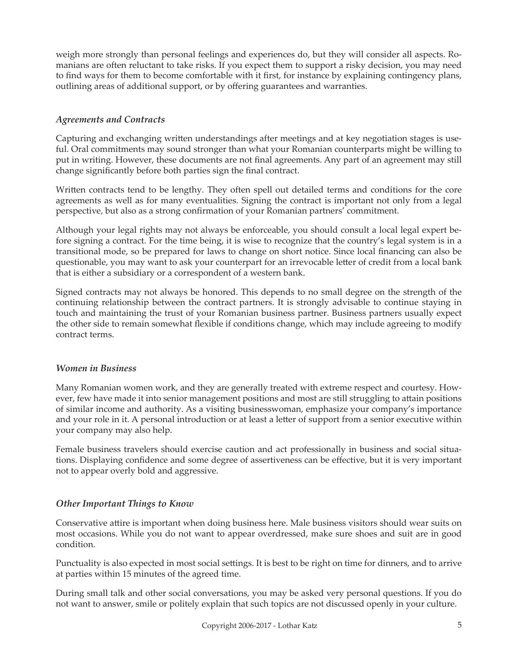weigh more strongly than personal feelings and experiences do, but they will consider all aspects. Romanians are often reluctant to take risks. If you expect them to support a risky decision, you may need to find ways for them to become comfortable with it first, for instance by explaining contingency plans, outlining areas of additional support, or by offering guarantees and warranties.

## *Agreements and Contracts*

Capturing and exchanging written understandings after meetings and at key negotiation stages is useful. Oral commitments may sound stronger than what your Romanian counterparts might be willing to put in writing. However, these documents are not final agreements. Any part of an agreement may still change significantly before both parties sign the final contract.

Written contracts tend to be lengthy. They often spell out detailed terms and conditions for the core agreements as well as for many eventualities. Signing the contract is important not only from a legal perspective, but also as a strong confirmation of your Romanian partners' commitment.

Although your legal rights may not always be enforceable, you should consult a local legal expert before signing a contract. For the time being, it is wise to recognize that the country's legal system is in a transitional mode, so be prepared for laws to change on short notice. Since local financing can also be questionable, you may want to ask your counterpart for an irrevocable letter of credit from a local bank that is either a subsidiary or a correspondent of a western bank.

Signed contracts may not always be honored. This depends to no small degree on the strength of the continuing relationship between the contract partners. It is strongly advisable to continue staying in touch and maintaining the trust of your Romanian business partner. Business partners usually expect the other side to remain somewhat flexible if conditions change, which may include agreeing to modify contract terms.

## *Women in Business*

Many Romanian women work, and they are generally treated with extreme respect and courtesy. However, few have made it into senior management positions and most are still struggling to attain positions of similar income and authority. As a visiting businesswoman, emphasize your company's importance and your role in it. A personal introduction or at least a letter of support from a senior executive within your company may also help.

Female business travelers should exercise caution and act professionally in business and social situations. Displaying confidence and some degree of assertiveness can be effective, but it is very important not to appear overly bold and aggressive.

## *Other Important Things to Know*

Conservative attire is important when doing business here. Male business visitors should wear suits on most occasions. While you do not want to appear overdressed, make sure shoes and suit are in good condition.

Punctuality is also expected in most social settings. It is best to be right on time for dinners, and to arrive at parties within 15 minutes of the agreed time.

During small talk and other social conversations, you may be asked very personal questions. If you do not want to answer, smile or politely explain that such topics are not discussed openly in your culture.